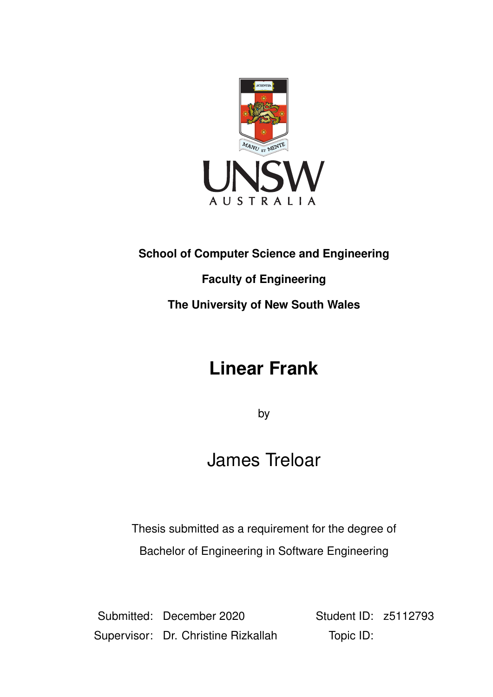

#### **School of Computer Science and Engineering**

#### **Faculty of Engineering**

**The University of New South Wales**

# **Linear Frank**

by

# James Treloar

Thesis submitted as a requirement for the degree of Bachelor of Engineering in Software Engineering

Submitted: December 2020 Supervisor: Dr. Christine Rizkallah Student ID: z5112793 Topic ID: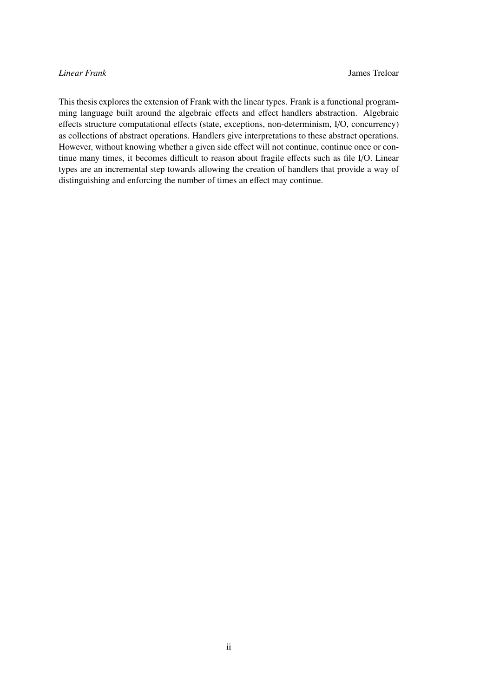This thesis explores the extension of Frank with the linear types. Frank is a functional programming language built around the algebraic effects and effect handlers abstraction. Algebraic effects structure computational effects (state, exceptions, non-determinism, I/O, concurrency) as collections of abstract operations. Handlers give interpretations to these abstract operations. However, without knowing whether a given side effect will not continue, continue once or continue many times, it becomes difficult to reason about fragile effects such as file I/O. Linear types are an incremental step towards allowing the creation of handlers that provide a way of distinguishing and enforcing the number of times an effect may continue.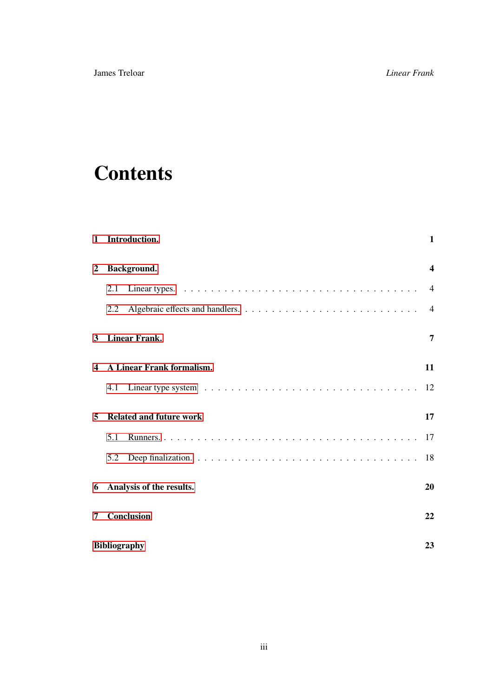# **Contents**

| $\mathbf{1}$            |                           | Introduction.                  | 1              |  |  |
|-------------------------|---------------------------|--------------------------------|----------------|--|--|
| 2                       | Background.               |                                |                |  |  |
|                         | 2.1                       |                                | $\overline{4}$ |  |  |
|                         | 2.2                       |                                | $\overline{4}$ |  |  |
| 3                       |                           | <b>Linear Frank.</b>           | 7              |  |  |
| $\overline{\mathbf{4}}$ | A Linear Frank formalism. |                                |                |  |  |
|                         | 4.1                       |                                | 12             |  |  |
| 5                       |                           | <b>Related and future work</b> | 17             |  |  |
|                         | 5.1                       |                                | 17             |  |  |
|                         | 5.2                       |                                | 18             |  |  |
| 6                       |                           | Analysis of the results.       | 20             |  |  |
| 7                       |                           | <b>Conclusion</b>              | 22             |  |  |
|                         | <b>Bibliography</b><br>23 |                                |                |  |  |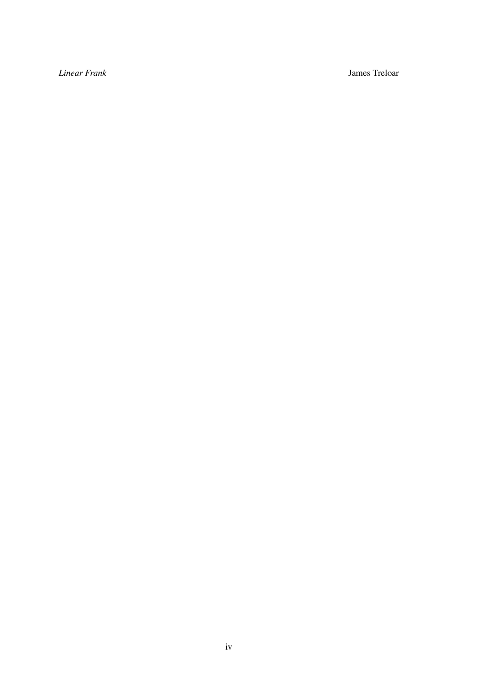*Linear Frank* James Treloar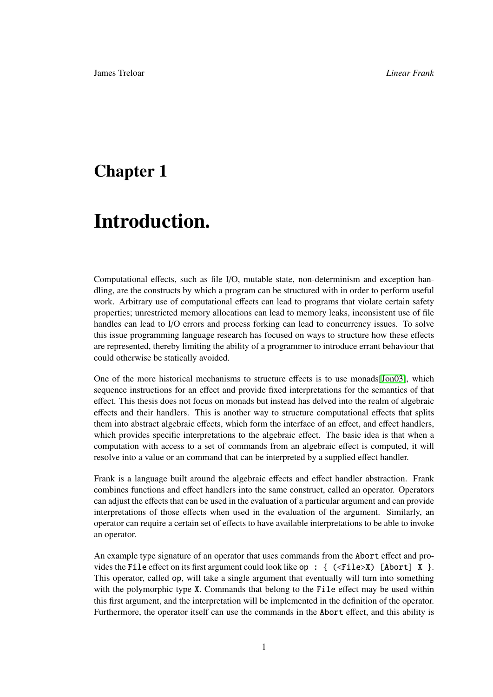# <span id="page-4-0"></span>Introduction.

Computational effects, such as file I/O, mutable state, non-determinism and exception handling, are the constructs by which a program can be structured with in order to perform useful work. Arbitrary use of computational effects can lead to programs that violate certain safety properties; unrestricted memory allocations can lead to memory leaks, inconsistent use of file handles can lead to I/O errors and process forking can lead to concurrency issues. To solve this issue programming language research has focused on ways to structure how these effects are represented, thereby limiting the ability of a programmer to introduce errant behaviour that could otherwise be statically avoided.

One of the more historical mechanisms to structure effects is to use monads[\[Jon03\]](#page-26-0), which sequence instructions for an effect and provide fixed interpretations for the semantics of that effect. This thesis does not focus on monads but instead has delved into the realm of algebraic effects and their handlers. This is another way to structure computational effects that splits them into abstract algebraic effects, which form the interface of an effect, and effect handlers, which provides specific interpretations to the algebraic effect. The basic idea is that when a computation with access to a set of commands from an algebraic effect is computed, it will resolve into a value or an command that can be interpreted by a supplied effect handler.

Frank is a language built around the algebraic effects and effect handler abstraction. Frank combines functions and effect handlers into the same construct, called an operator. Operators can adjust the effects that can be used in the evaluation of a particular argument and can provide interpretations of those effects when used in the evaluation of the argument. Similarly, an operator can require a certain set of effects to have available interpretations to be able to invoke an operator.

An example type signature of an operator that uses commands from the Abort effect and provides the File effect on its first argument could look like op :  $\{ \langle \text{File} \rangle X \rangle$  [Abort] X  $\}$ . This operator, called op, will take a single argument that eventually will turn into something with the polymorphic type X. Commands that belong to the File effect may be used within this first argument, and the interpretation will be implemented in the definition of the operator. Furthermore, the operator itself can use the commands in the Abort effect, and this ability is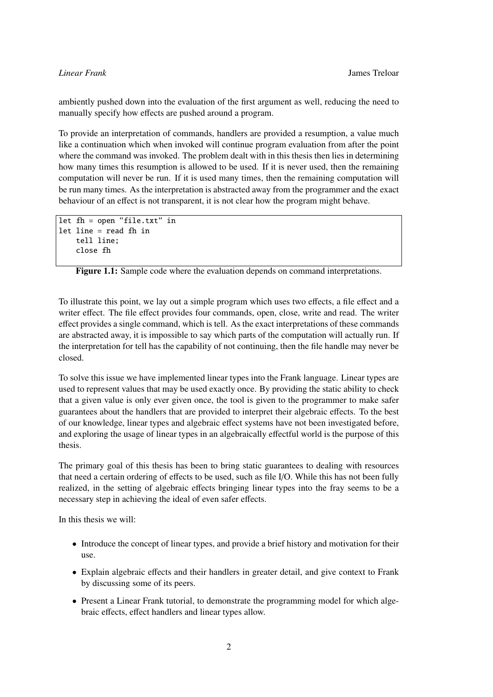ambiently pushed down into the evaluation of the first argument as well, reducing the need to manually specify how effects are pushed around a program.

To provide an interpretation of commands, handlers are provided a resumption, a value much like a continuation which when invoked will continue program evaluation from after the point where the command was invoked. The problem dealt with in this thesis then lies in determining how many times this resumption is allowed to be used. If it is never used, then the remaining computation will never be run. If it is used many times, then the remaining computation will be run many times. As the interpretation is abstracted away from the programmer and the exact behaviour of an effect is not transparent, it is not clear how the program might behave.

```
let fh = open "file.txt" in
let line = read fh in
    tell line;
    close fh
```
Figure 1.1: Sample code where the evaluation depends on command interpretations.

To illustrate this point, we lay out a simple program which uses two effects, a file effect and a writer effect. The file effect provides four commands, open, close, write and read. The writer effect provides a single command, which is tell. As the exact interpretations of these commands are abstracted away, it is impossible to say which parts of the computation will actually run. If the interpretation for tell has the capability of not continuing, then the file handle may never be closed.

To solve this issue we have implemented linear types into the Frank language. Linear types are used to represent values that may be used exactly once. By providing the static ability to check that a given value is only ever given once, the tool is given to the programmer to make safer guarantees about the handlers that are provided to interpret their algebraic effects. To the best of our knowledge, linear types and algebraic effect systems have not been investigated before, and exploring the usage of linear types in an algebraically effectful world is the purpose of this thesis.

The primary goal of this thesis has been to bring static guarantees to dealing with resources that need a certain ordering of effects to be used, such as file I/O. While this has not been fully realized, in the setting of algebraic effects bringing linear types into the fray seems to be a necessary step in achieving the ideal of even safer effects.

In this thesis we will:

- Introduce the concept of linear types, and provide a brief history and motivation for their use.
- Explain algebraic effects and their handlers in greater detail, and give context to Frank by discussing some of its peers.
- Present a Linear Frank tutorial, to demonstrate the programming model for which algebraic effects, effect handlers and linear types allow.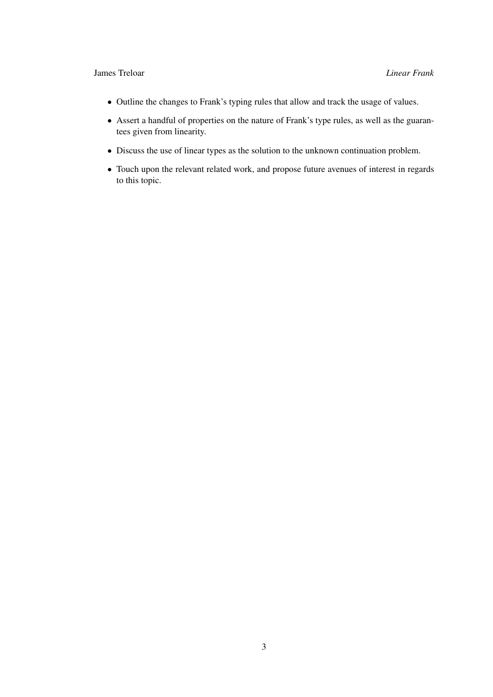#### James Treloar *Linear Frank*

- Outline the changes to Frank's typing rules that allow and track the usage of values.
- Assert a handful of properties on the nature of Frank's type rules, as well as the guarantees given from linearity.
- Discuss the use of linear types as the solution to the unknown continuation problem.
- Touch upon the relevant related work, and propose future avenues of interest in regards to this topic.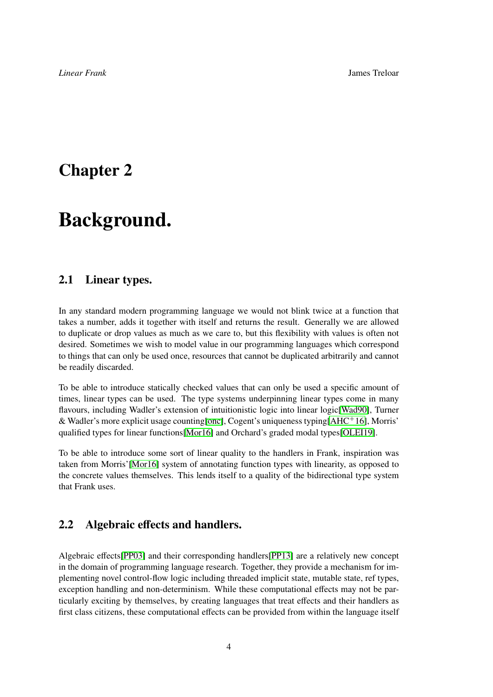# <span id="page-7-0"></span>Background.

#### <span id="page-7-1"></span>2.1 Linear types.

In any standard modern programming language we would not blink twice at a function that takes a number, adds it together with itself and returns the result. Generally we are allowed to duplicate or drop values as much as we care to, but this flexibility with values is often not desired. Sometimes we wish to model value in our programming languages which correspond to things that can only be used once, resources that cannot be duplicated arbitrarily and cannot be readily discarded.

To be able to introduce statically checked values that can only be used a specific amount of times, linear types can be used. The type systems underpinning linear types come in many flavours, including Wadler's extension of intuitionistic logic into linear logic[\[Wad90\]](#page-27-0), Turner & Wadler's more explicit usage counting [\[onc\]](#page-27-1), Cogent's uniqueness typing [\[AHC](#page-26-1)<sup>+</sup>16], Morris' qualified types for linear functions[\[Mor16\]](#page-26-2) and Orchard's graded modal types[\[OLEI19\]](#page-26-3).

To be able to introduce some sort of linear quality to the handlers in Frank, inspiration was taken from Morris'[\[Mor16\]](#page-26-2) system of annotating function types with linearity, as opposed to the concrete values themselves. This lends itself to a quality of the bidirectional type system that Frank uses.

#### <span id="page-7-2"></span>2.2 Algebraic effects and handlers.

Algebraic effects[\[PP03\]](#page-27-2) and their corresponding handlers[\[PP13\]](#page-27-3) are a relatively new concept in the domain of programming language research. Together, they provide a mechanism for implementing novel control-flow logic including threaded implicit state, mutable state, ref types, exception handling and non-determinism. While these computational effects may not be particularly exciting by themselves, by creating languages that treat effects and their handlers as first class citizens, these computational effects can be provided from within the language itself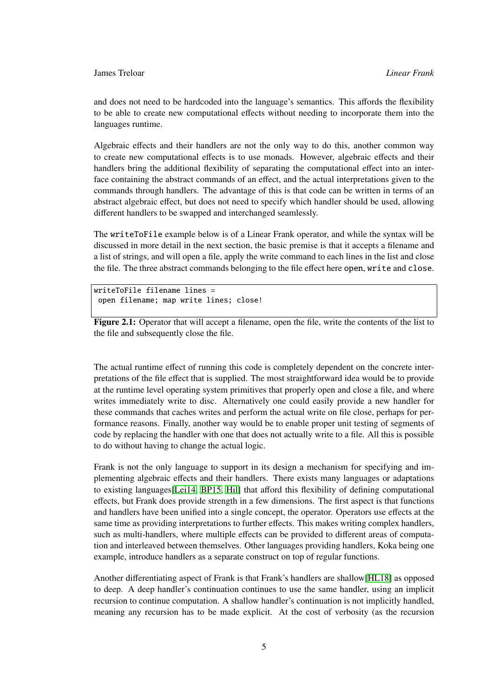and does not need to be hardcoded into the language's semantics. This affords the flexibility to be able to create new computational effects without needing to incorporate them into the languages runtime.

Algebraic effects and their handlers are not the only way to do this, another common way to create new computational effects is to use monads. However, algebraic effects and their handlers bring the additional flexibility of separating the computational effect into an interface containing the abstract commands of an effect, and the actual interpretations given to the commands through handlers. The advantage of this is that code can be written in terms of an abstract algebraic effect, but does not need to specify which handler should be used, allowing different handlers to be swapped and interchanged seamlessly.

The writeToFile example below is of a Linear Frank operator, and while the syntax will be discussed in more detail in the next section, the basic premise is that it accepts a filename and a list of strings, and will open a file, apply the write command to each lines in the list and close the file. The three abstract commands belonging to the file effect here open, write and close.

```
writeToFile filename lines =
open filename; map write lines; close!
```
Figure 2.1: Operator that will accept a filename, open the file, write the contents of the list to the file and subsequently close the file.

The actual runtime effect of running this code is completely dependent on the concrete interpretations of the file effect that is supplied. The most straightforward idea would be to provide at the runtime level operating system primitives that properly open and close a file, and where writes immediately write to disc. Alternatively one could easily provide a new handler for these commands that caches writes and perform the actual write on file close, perhaps for performance reasons. Finally, another way would be to enable proper unit testing of segments of code by replacing the handler with one that does not actually write to a file. All this is possible to do without having to change the actual logic.

Frank is not the only language to support in its design a mechanism for specifying and implementing algebraic effects and their handlers. There exists many languages or adaptations to existing languages[\[Lei14,](#page-26-4) [BP15,](#page-26-5) [Hil\]](#page-26-6) that afford this flexibility of defining computational effects, but Frank does provide strength in a few dimensions. The first aspect is that functions and handlers have been unified into a single concept, the operator. Operators use effects at the same time as providing interpretations to further effects. This makes writing complex handlers, such as multi-handlers, where multiple effects can be provided to different areas of computation and interleaved between themselves. Other languages providing handlers, Koka being one example, introduce handlers as a separate construct on top of regular functions.

Another differentiating aspect of Frank is that Frank's handlers are shallow[\[HL18\]](#page-26-7) as opposed to deep. A deep handler's continuation continues to use the same handler, using an implicit recursion to continue computation. A shallow handler's continuation is not implicitly handled, meaning any recursion has to be made explicit. At the cost of verbosity (as the recursion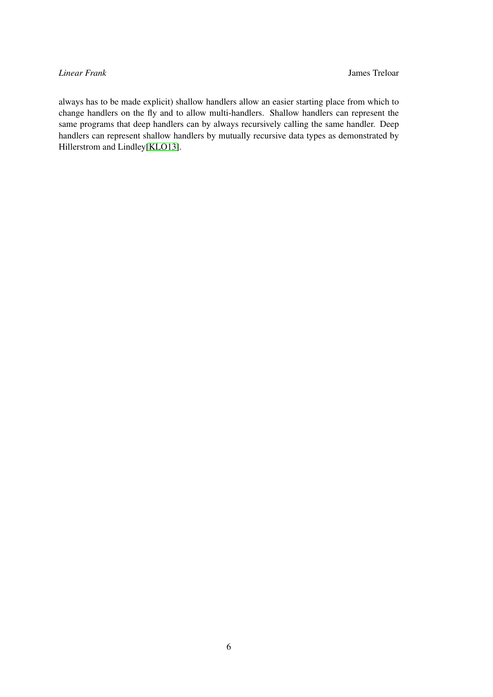always has to be made explicit) shallow handlers allow an easier starting place from which to change handlers on the fly and to allow multi-handlers. Shallow handlers can represent the same programs that deep handlers can by always recursively calling the same handler. Deep handlers can represent shallow handlers by mutually recursive data types as demonstrated by Hillerstrom and Lindley[\[KLO13\]](#page-26-8).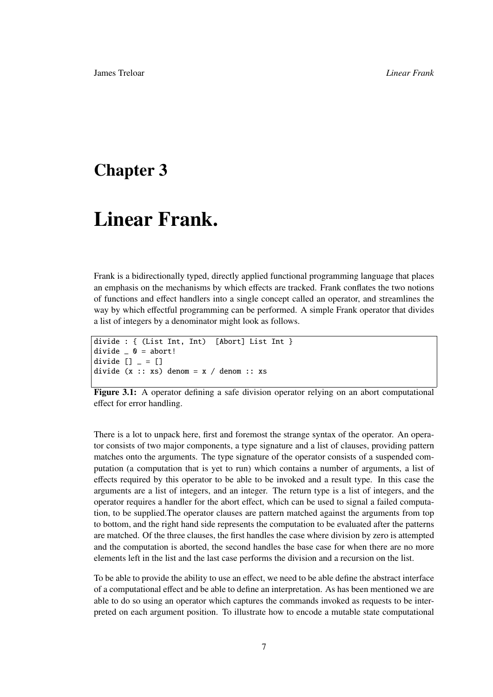# <span id="page-10-0"></span>Linear Frank.

Frank is a bidirectionally typed, directly applied functional programming language that places an emphasis on the mechanisms by which effects are tracked. Frank conflates the two notions of functions and effect handlers into a single concept called an operator, and streamlines the way by which effectful programming can be performed. A simple Frank operator that divides a list of integers by a denominator might look as follows.

```
divide : { (List Int, Int) [Abort] List Int }
divide 0 = abort!
divide [] = []divide (x :: xs) denom = x / denom :: xs
```
Figure 3.1: A operator defining a safe division operator relying on an abort computational effect for error handling.

There is a lot to unpack here, first and foremost the strange syntax of the operator. An operator consists of two major components, a type signature and a list of clauses, providing pattern matches onto the arguments. The type signature of the operator consists of a suspended computation (a computation that is yet to run) which contains a number of arguments, a list of effects required by this operator to be able to be invoked and a result type. In this case the arguments are a list of integers, and an integer. The return type is a list of integers, and the operator requires a handler for the abort effect, which can be used to signal a failed computation, to be supplied.The operator clauses are pattern matched against the arguments from top to bottom, and the right hand side represents the computation to be evaluated after the patterns are matched. Of the three clauses, the first handles the case where division by zero is attempted and the computation is aborted, the second handles the base case for when there are no more elements left in the list and the last case performs the division and a recursion on the list.

To be able to provide the ability to use an effect, we need to be able define the abstract interface of a computational effect and be able to define an interpretation. As has been mentioned we are able to do so using an operator which captures the commands invoked as requests to be interpreted on each argument position. To illustrate how to encode a mutable state computational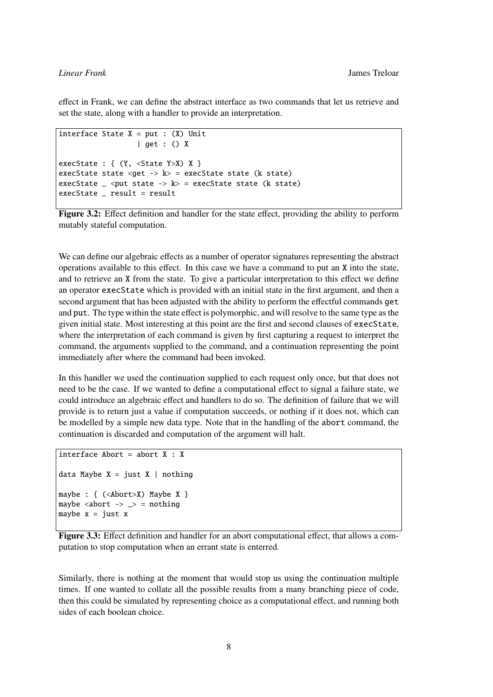effect in Frank, we can define the abstract interface as two commands that let us retrieve and set the state, along with a handler to provide an interpretation.

```
interface State X = put : (X) Unit
                  | get : () X
execState : \{ (Y, <State Y>X) X }
execState state <get -> k> = execState state (k state)
execState _ <put state -> k = execState state (k state)
execState _ result = result
```
Figure 3.2: Effect definition and handler for the state effect, providing the ability to perform mutably stateful computation.

We can define our algebraic effects as a number of operator signatures representing the abstract operations available to this effect. In this case we have a command to put an X into the state, and to retrieve an X from the state. To give a particular interpretation to this effect we define an operator execState which is provided with an initial state in the first argument, and then a second argument that has been adjusted with the ability to perform the effectful commands get and put. The type within the state effect is polymorphic, and will resolve to the same type as the given initial state. Most interesting at this point are the first and second clauses of execState, where the interpretation of each command is given by first capturing a request to interpret the command, the arguments supplied to the command, and a continuation representing the point immediately after where the command had been invoked.

In this handler we used the continuation supplied to each request only once, but that does not need to be the case. If we wanted to define a computational effect to signal a failure state, we could introduce an algebraic effect and handlers to do so. The definition of failure that we will provide is to return just a value if computation succeeds, or nothing if it does not, which can be modelled by a simple new data type. Note that in the handling of the abort command, the continuation is discarded and computation of the argument will halt.

```
interface Abort = abort X : Xdata Maybe X = just X | nothingmaybe : \{ (\langle \text{Abort} \rangle X) \text{ Maybe } X \}maybe \langleabort \rightarrow > = nothing
maybe x = just x
```
Figure 3.3: Effect definition and handler for an abort computational effect, that allows a computation to stop computation when an errant state is enterred.

Similarly, there is nothing at the moment that would stop us using the continuation multiple times. If one wanted to collate all the possible results from a many branching piece of code, then this could be simulated by representing choice as a computational effect, and running both sides of each boolean choice.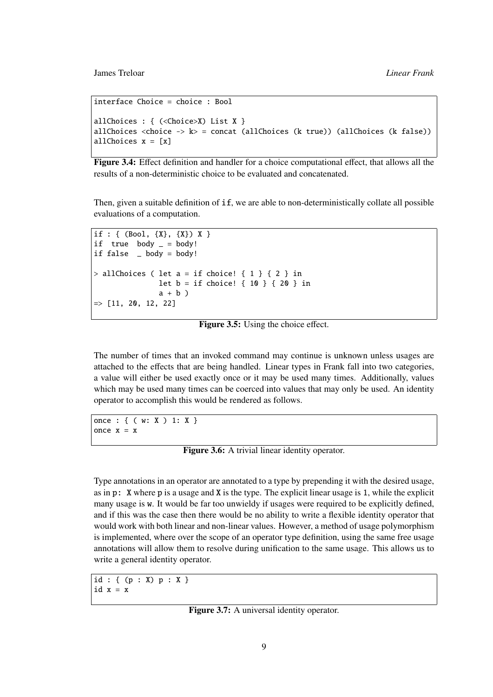```
interface Choice = choice : Bool
allChoices : { (<Choice>X) List X }
allChoices <choice -> k> = concat (allChoices (k true)) (allChoices (k false))
allChoices x = [x]
```
Figure 3.4: Effect definition and handler for a choice computational effect, that allows all the results of a non-deterministic choice to be evaluated and concatenated.

Then, given a suitable definition of  $if$ , we are able to non-deterministically collate all possible evaluations of a computation.

```
if : { (Bool, \{X\}, \{X\}) X }
if true body = body!
if false _ body = body!
> allChoices ( let a = if choice! { 1 } { 2 } in
               let b = if choice! { 10 } { 20 } in
               a + b)
\Rightarrow [11, 20, 12, 22]
```
Figure 3.5: Using the choice effect.

The number of times that an invoked command may continue is unknown unless usages are attached to the effects that are being handled. Linear types in Frank fall into two categories, a value will either be used exactly once or it may be used many times. Additionally, values which may be used many times can be coerced into values that may only be used. An identity operator to accomplish this would be rendered as follows.

once : { ( w: X ) 1: X } once  $x = x$ 

Figure 3.6: A trivial linear identity operator.

Type annotations in an operator are annotated to a type by prepending it with the desired usage, as in p: X where p is a usage and X is the type. The explicit linear usage is 1, while the explicit many usage is w. It would be far too unwieldy if usages were required to be explicitly defined, and if this was the case then there would be no ability to write a flexible identity operator that would work with both linear and non-linear values. However, a method of usage polymorphism is implemented, where over the scope of an operator type definition, using the same free usage annotations will allow them to resolve during unification to the same usage. This allows us to write a general identity operator.

id : { (p : X) p : X } id  $x = x$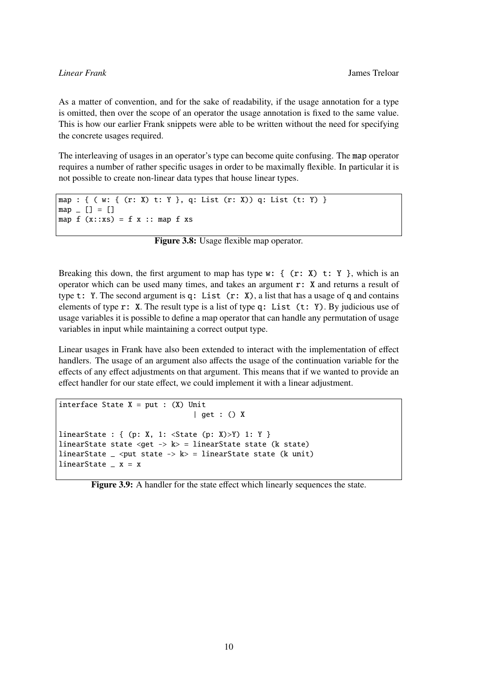As a matter of convention, and for the sake of readability, if the usage annotation for a type is omitted, then over the scope of an operator the usage annotation is fixed to the same value. This is how our earlier Frank snippets were able to be written without the need for specifying the concrete usages required.

The interleaving of usages in an operator's type can become quite confusing. The map operator requires a number of rather specific usages in order to be maximally flexible. In particular it is not possible to create non-linear data types that house linear types.

```
map : { ( w: { (r: X) t: Y }, q: List (r: X)) q: List (t: Y) }
map [ ] = [ ]map f(x::xs) = f(x::map f xs)
```
Figure 3.8: Usage flexible map operator.

Breaking this down, the first argument to map has type  $w: \{ (r: X) \t : Y \}$ , which is an operator which can be used many times, and takes an argument r: X and returns a result of type t: Y. The second argument is  $q$ : List  $(r: X)$ , a list that has a usage of q and contains elements of type  $r: X$ . The result type is a list of type q: List (t: Y). By judicious use of usage variables it is possible to define a map operator that can handle any permutation of usage variables in input while maintaining a correct output type.

Linear usages in Frank have also been extended to interact with the implementation of effect handlers. The usage of an argument also affects the usage of the continuation variable for the effects of any effect adjustments on that argument. This means that if we wanted to provide an effect handler for our state effect, we could implement it with a linear adjustment.

```
interface State X = put : (X) Unit
                               | get : () X
linearState : { (p: X, 1: <State (p: X)>Y) 1: Y }
linearState state <get -> k> = linearState state (k state)
linearState \angle <put state -> k> = linearState state (k unit)
linearState - x = x
```
Figure 3.9: A handler for the state effect which linearly sequences the state.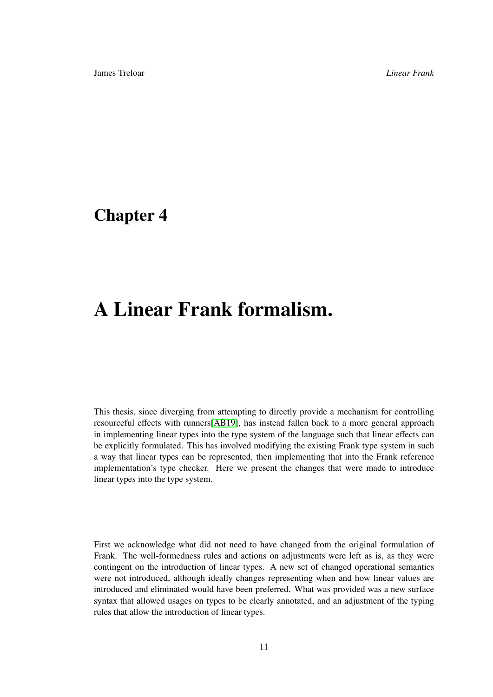<span id="page-14-0"></span>James Treloar *Linear Frank*

Chapter 4

# A Linear Frank formalism.

This thesis, since diverging from attempting to directly provide a mechanism for controlling resourceful effects with runners[\[AB19\]](#page-26-9), has instead fallen back to a more general approach in implementing linear types into the type system of the language such that linear effects can be explicitly formulated. This has involved modifying the existing Frank type system in such a way that linear types can be represented, then implementing that into the Frank reference implementation's type checker. Here we present the changes that were made to introduce linear types into the type system.

First we acknowledge what did not need to have changed from the original formulation of Frank. The well-formedness rules and actions on adjustments were left as is, as they were contingent on the introduction of linear types. A new set of changed operational semantics were not introduced, although ideally changes representing when and how linear values are introduced and eliminated would have been preferred. What was provided was a new surface syntax that allowed usages on types to be clearly annotated, and an adjustment of the typing rules that allow the introduction of linear types.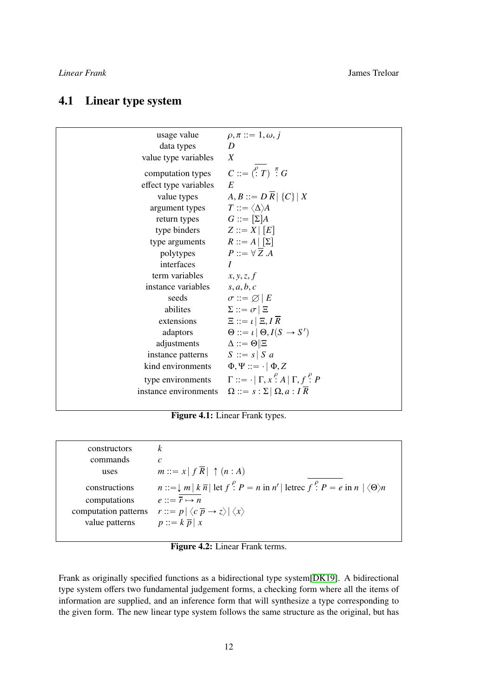#### <span id="page-15-0"></span>4.1 Linear type system

| usage value $\rho, \pi ::= 1, \omega, j$           |                                                                      |
|----------------------------------------------------|----------------------------------------------------------------------|
| data types                                         | D                                                                    |
| value type variables                               | X                                                                    |
| computation types                                  | $C ::= \binom{\rho}{\cdot} T \mid \frac{\pi}{\cdot} G$               |
| effect type variables                              | E                                                                    |
|                                                    | value types $A, B ::= D \overline{R}   \{C\}   X$                    |
| argument types $T ::= \langle \Delta \rangle A$    |                                                                      |
| return types $G ::= [\Sigma]A$                     |                                                                      |
| type binders $Z ::= X   [E]$                       |                                                                      |
| type arguments $R ::= A   \Sigma$                  |                                                                      |
| polytypes                                          | $P ::= \forall \ \overline{Z} \ A$                                   |
| interfaces                                         | $\boldsymbol{I}$                                                     |
| term variables                                     | x, y, z, f                                                           |
| instance variables                                 | s, a, b, c                                                           |
| seeds                                              | $\sigma ::= \emptyset   E$                                           |
| abilites                                           | $\Sigma ::= \sigma \mid \Xi$                                         |
| extensions $\Xi ::= \iota   \Xi, I \overline{R}$   |                                                                      |
|                                                    | adaptors $\Theta ::= \iota \mid \Theta, I(S \rightarrow S')$         |
| adjustments $\Delta ::= \Theta \ \Xi$              |                                                                      |
| instance patterns $S ::= s   S a$                  |                                                                      |
| kind environments $\Phi, \Psi ::= \cdot   \Phi, Z$ |                                                                      |
|                                                    | type environments $\Gamma ::= \cdot   \Gamma, x   A   \Gamma, f   P$ |
| instance environments                              | $\Omega ::= s : \Sigma   \Omega, a : IR$                             |
|                                                    |                                                                      |

Figure 4.1: Linear Frank types.

| constructors         | k                                                                                                                                                                                |
|----------------------|----------------------------------------------------------------------------------------------------------------------------------------------------------------------------------|
| commands             | $\mathcal{C}_{0}^{2}$                                                                                                                                                            |
| uses                 | $m ::= x   f \overline{R}   \uparrow (n : A)$                                                                                                                                    |
| constructions        | $n ::= \downarrow m   k \overline{n}   \text{let } f \overset{\rho}{:} P = n \text{ in } n'   \text{letrec } f \overset{\rho}{:} P = e \text{ in } n   \langle \Theta \rangle n$ |
| computations         | $e ::= \overline{r} \mapsto n$                                                                                                                                                   |
| computation patterns | $r ::= p   \langle c \overline{p} \rightarrow z \rangle   \langle x \rangle$                                                                                                     |
| value patterns       | $p ::= k \overline{p}   x$                                                                                                                                                       |
|                      |                                                                                                                                                                                  |

Figure 4.2: Linear Frank terms.

Frank as originally specified functions as a bidirectional type system[\[DK19\]](#page-26-10). A bidirectional type system offers two fundamental judgement forms, a checking form where all the items of information are supplied, and an inference form that will synthesize a type corresponding to the given form. The new linear type system follows the same structure as the original, but has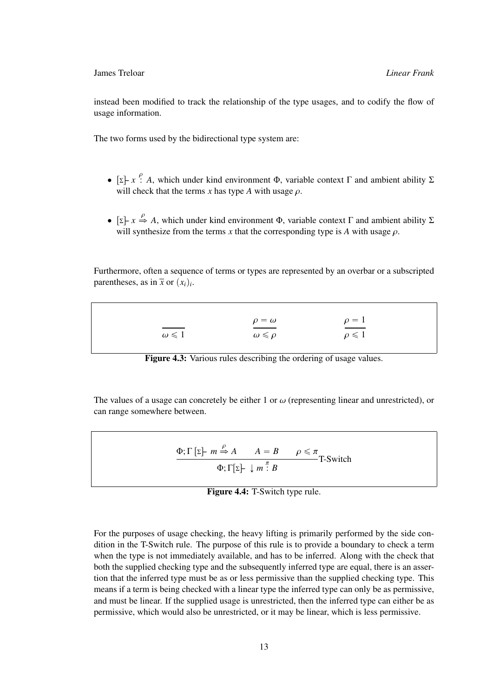James Treloar *Linear Frank*

instead been modified to track the relationship of the type usages, and to codify the flow of usage information.

The two forms used by the bidirectional type system are:

- $[\Sigma] x$  *A*, which under kind environment Φ, variable context Γ and ambient ability Σ will check that the terms  $x$  has type  $A$  with usage  $\rho$ .
- $[\Sigma]$   $x \stackrel{\sim}{\Rightarrow} A$ , which under kind environment Φ, variable context Γ and ambient ability Σ will synthesize from the terms *x* that the corresponding type is *A* with usage  $\rho$ .

Furthermore, often a sequence of terms or types are represented by an overbar or a subscripted parentheses, as in  $\bar{x}$  or  $(x_i)_i$ .

|                 | $\rho = \omega$         | $\rho = 1$    |  |
|-----------------|-------------------------|---------------|--|
|                 |                         |               |  |
| $\omega \leq 1$ | $\omega \leqslant \rho$ | $\rho \leq 1$ |  |
|                 |                         |               |  |

Figure 4.3: Various rules describing the ordering of usage values.

The values of a usage can concretely be either 1 or  $\omega$  (representing linear and unrestricted), or can range somewhere between.

$$
\frac{\Phi; \Gamma [\Sigma] \cdot m \stackrel{\rho}{\Rightarrow} A \qquad A = B \qquad \rho \leq \pi}{\Phi; \Gamma [\Sigma] \cdot \mu \stackrel{\pi}{\therefore} B} \text{T-Switch}
$$

Figure 4.4: T-Switch type rule.

For the purposes of usage checking, the heavy lifting is primarily performed by the side condition in the T-Switch rule. The purpose of this rule is to provide a boundary to check a term when the type is not immediately available, and has to be inferred. Along with the check that both the supplied checking type and the subsequently inferred type are equal, there is an assertion that the inferred type must be as or less permissive than the supplied checking type. This means if a term is being checked with a linear type the inferred type can only be as permissive, and must be linear. If the supplied usage is unrestricted, then the inferred type can either be as permissive, which would also be unrestricted, or it may be linear, which is less permissive.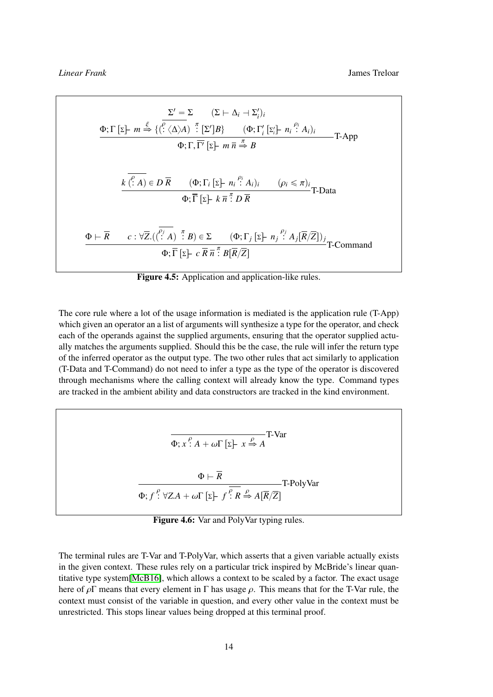$$
\Sigma' = \Sigma \qquad (\Sigma \vdash \Delta_i \dashv \Sigma'_i)_i
$$
\n
$$
\Phi; \Gamma \left[ \Sigma \right] \cdot m \stackrel{\xi}{\Rightarrow} \{ \underbrace{\left( \underbrace{\stackrel{\circ}{:} \langle \Delta \rangle A \right)}_{\text{T}} \cdot \underbrace{\stackrel{\tau}{:} \Sigma' \rfloor B \}}_{\text{T}} \qquad (\Phi; \Gamma'_i \left[ \Sigma'_i \right] \cdot n_i \stackrel{\rho_i}{\therefore} A_i)_i \qquad \text{T-App}
$$
\n
$$
\frac{k \overline{\left( \underbrace{\stackrel{\circ}{:} A \right)}_{\text{T}} \in D \overline{R}} \qquad (\Phi; \Gamma_i \left[ \Sigma \right] \cdot n_i \stackrel{\rho_i}{\therefore} A_i)_i \qquad (\rho_i \leq \pi)_i}{\Phi; \overline{\Gamma} \left[ \Sigma \right] \cdot k \overline{n} \stackrel{\pi}{\therefore} D \overline{R}} \qquad \text{T-Data}
$$
\n
$$
\Phi \vdash \overline{R} \qquad c : \forall \overline{Z}. (\underbrace{\left( \underbrace{\stackrel{\rho_i}{\stackrel{\circ}{:} A \right)}_{\text{T}} \cdot \underbrace{\stackrel{\pi}{:} B \right)}_{\text{T-Exp}} \in \Sigma} \qquad (\Phi; \Gamma_j \left[ \Sigma \right] \cdot n_j \stackrel{\rho_j}{\therefore} A_j \left[ \overline{R} / \overline{Z} \right])_j \qquad \text{T-Command}
$$

Figure 4.5: Application and application-like rules.

The core rule where a lot of the usage information is mediated is the application rule (T-App) which given an operator an a list of arguments will synthesize a type for the operator, and check each of the operands against the supplied arguments, ensuring that the operator supplied actually matches the arguments supplied. Should this be the case, the rule will infer the return type of the inferred operator as the output type. The two other rules that act similarly to application (T-Data and T-Command) do not need to infer a type as the type of the operator is discovered through mechanisms where the calling context will already know the type. Command types are tracked in the ambient ability and data constructors are tracked in the kind environment.

$$
\frac{}{\Phi; x \stackrel{\rho}{:} A + \omega \Gamma [\Sigma] \cdot x \stackrel{\rho}{\Rightarrow} A} \text{T-Var}
$$
\n
$$
\Phi \vdash \overline{R}
$$
\n
$$
\Phi; f \stackrel{\rho}{:} \forall Z.A + \omega \Gamma [\Sigma] \cdot f \stackrel{\rho}{:} R \stackrel{\rho}{\Rightarrow} A[\overline{R}/\overline{Z}]
$$

Figure 4.6: Var and PolyVar typing rules.

The terminal rules are T-Var and T-PolyVar, which asserts that a given variable actually exists in the given context. These rules rely on a particular trick inspired by McBride's linear quantitative type system[\[McB16\]](#page-26-11), which allows a context to be scaled by a factor. The exact usage here of  $\rho \Gamma$  means that every element in  $\Gamma$  has usage  $\rho$ . This means that for the T-Var rule, the context must consist of the variable in question, and every other value in the context must be unrestricted. This stops linear values being dropped at this terminal proof.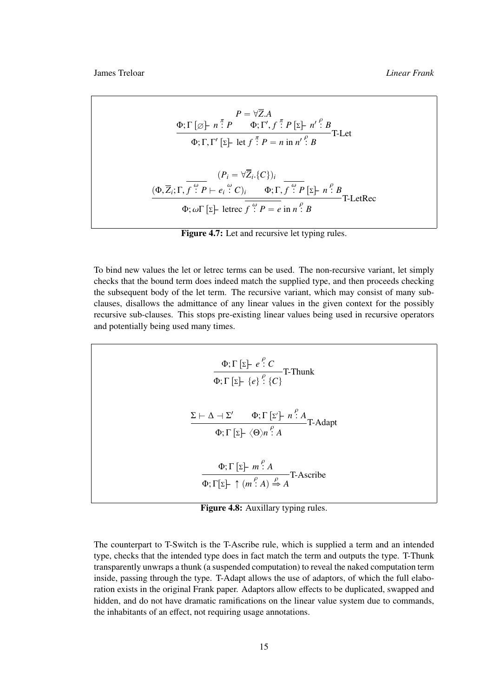James Treloar *Linear Frank*

$$
P = \forall \overline{Z}.A
$$
  
\n
$$
\Phi; \Gamma[\emptyset] \cdot n \stackrel{\pi}{:} P \qquad \Phi; \Gamma', f \stackrel{\pi}{:} P [\Sigma] \cdot n' \stackrel{\rho}{:} B
$$
  
\n
$$
\Phi; \Gamma, \Gamma' [\Sigma] \text{ let } f \stackrel{\pi}{:} P = n \text{ in } n' \stackrel{\rho}{:} B
$$
  
\n
$$
\frac{(P_i = \forall \overline{Z}_i. \{C\})_i}{(\Phi, \overline{Z}_i; \Gamma, f \stackrel{\omega}{:} P \mid e_i \stackrel{\omega}{:} C)_i} \qquad \Phi; \Gamma, \overline{f \stackrel{\omega}{:} P [\Sigma] \cdot n \stackrel{\rho}{:} B}
$$
  
\n
$$
\frac{\Gamma}{\Phi; \omega \Gamma [\Sigma] \text{ let } \overline{C} \stackrel{\omega}{:} P = e \text{ in } n \stackrel{\rho}{:} B} \qquad \text{Therefore}
$$

Figure 4.7: Let and recursive let typing rules.

To bind new values the let or letrec terms can be used. The non-recursive variant, let simply checks that the bound term does indeed match the supplied type, and then proceeds checking the subsequent body of the let term. The recursive variant, which may consist of many subclauses, disallows the admittance of any linear values in the given context for the possibly recursive sub-clauses. This stops pre-existing linear values being used in recursive operators and potentially being used many times.

$$
\frac{\Phi; \Gamma[\Sigma] - e^{\rho} C}{\Phi; \Gamma[\Sigma] - \{e\}^{\rho} \{C\}} \text{T-Thunk}
$$
\n
$$
\frac{\Sigma \vdash \Delta \to \Sigma' \qquad \Phi; \Gamma[\Sigma] - n^{\rho} A}{\Phi; \Gamma[\Sigma] - \langle \Theta \rangle n^{\rho} A} \text{T-Adapt}
$$
\n
$$
\frac{\Phi; \Gamma[\Sigma] - m^{\rho} A}{\Phi; \Gamma[\Sigma] - \gamma (m^{\rho} A) \xrightarrow{\rho} A} \text{T-Ascribe}
$$

Figure 4.8: Auxillary typing rules.

The counterpart to T-Switch is the T-Ascribe rule, which is supplied a term and an intended type, checks that the intended type does in fact match the term and outputs the type. T-Thunk transparently unwraps a thunk (a suspended computation) to reveal the naked computation term inside, passing through the type. T-Adapt allows the use of adaptors, of which the full elaboration exists in the original Frank paper. Adaptors allow effects to be duplicated, swapped and hidden, and do not have dramatic ramifications on the linear value system due to commands, the inhabitants of an effect, not requiring usage annotations.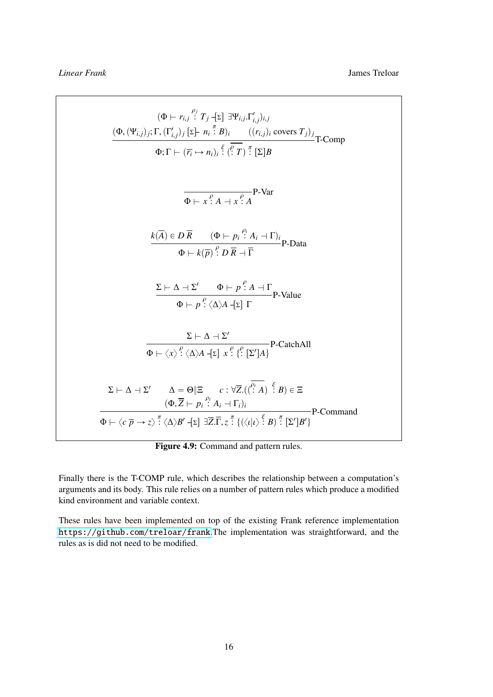$$
(\Phi \vdash r_{i,j} \stackrel{\rho_{j}}{\vdots} T_{j} \uparrow z] \exists \Psi_{i,j} \Gamma'_{i,j} \big)_{i,j}
$$
\n
$$
\frac{(\Phi, (\Psi_{i,j})_{j}; \Gamma, (\Gamma'_{i,j})_{j} [z] \vdash n_{i} \stackrel{\pi}{\vdots} B)_{i} \quad ((r_{i,j})_{i} \text{ covers } T_{j})_{j}}{\Phi; \Gamma \vdash (\overline{r_{i}} \mapsto n_{i})_{i} \stackrel{\varepsilon}{\vdots} (\stackrel{\pi}{\vdots} T) \stackrel{\pi}{\vdots} [\Sigma]B}
$$
\n
$$
\frac{\sqrt{A} \oplus D \overline{R} \quad (\Phi \vdash p_{i} \stackrel{\rho_{i}}{\vdots} A_{i} \rightarrow \Gamma)}{\Phi \vdash k(\overline{p}) \stackrel{\rho_{i}}{\vdots} D \overline{R} \rightarrow \overline{\Gamma}}
$$
\n
$$
\frac{\Sigma \vdash \Delta \rightarrow \Sigma' \quad \Phi \vdash p \stackrel{\rho_{i}}{\vdots} A \rightarrow \Gamma}{\Phi \vdash p \stackrel{\rho_{i}}{\vdots} \Delta \lambda \uparrow \Sigma] \Gamma}
$$
\n
$$
\frac{\Sigma \vdash \Delta \rightarrow \Sigma'}{\Phi \vdash p \stackrel{\rho_{i}}{\vdots} \Delta \lambda \uparrow \Sigma] \Gamma}
$$
\n
$$
\frac{\Sigma \vdash \Delta \rightarrow \Sigma'}{\Phi \vdash \langle x \rangle \stackrel{\rho_{i}}{\vdots} \langle x \rangle A \uparrow [\Sigma] \Gamma} \text{P-Value}
$$
\n
$$
\frac{\Sigma \vdash \Delta \rightarrow \Sigma'}{\Phi \vdash \langle x \rangle \stackrel{\rho_{i}}{\vdots} \langle x \rangle A \uparrow [\Sigma] \cdot x \stackrel{\rho_{i}}{\vdots} (\stackrel{\rho_{i}}{\vdots} A) \stackrel{\varepsilon}{\vdots} B) \in \Xi}
$$
\n
$$
\frac{(\Phi, \overline{Z} \vdash p_{i} \stackrel{\rho_{i}}{\vdots} A_{i} \rightarrow \Gamma_{i})_{i}}{\Phi \vdash \langle c \overline{p} \rightarrow z \rangle \stackrel{\pi}{\vdots} \langle \Delta \rangle B' \uparrow [\Sigma] \exists \overline{z} \cdot \overline{z}, \overline{z} \stackrel{\pi}{\vdots} (\langle \langle \iota | \iota \rangle \stackrel{\varepsilon}{\vdots} B) \stackrel{\
$$

Figure 4.9: Command and pattern rules.

Finally there is the T-COMP rule, which describes the relationship between a computation's arguments and its body. This rule relies on a number of pattern rules which produce a modified kind environment and variable context.

These rules have been implemented on top of the existing Frank reference implementation <https://github.com/treloar/frank>.The implementation was straightforward, and the rules as is did not need to be modified.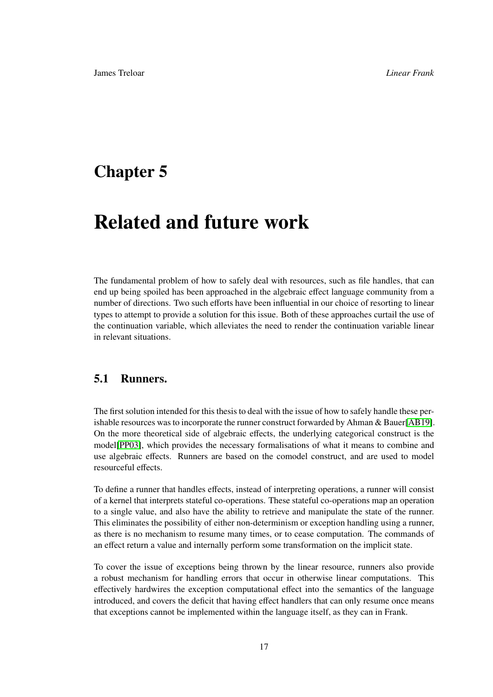### <span id="page-20-0"></span>Related and future work

The fundamental problem of how to safely deal with resources, such as file handles, that can end up being spoiled has been approached in the algebraic effect language community from a number of directions. Two such efforts have been influential in our choice of resorting to linear types to attempt to provide a solution for this issue. Both of these approaches curtail the use of the continuation variable, which alleviates the need to render the continuation variable linear in relevant situations.

#### <span id="page-20-1"></span>5.1 Runners.

The first solution intended for this thesis to deal with the issue of how to safely handle these perishable resources was to incorporate the runner construct forwarded by Ahman & Bauer[\[AB19\]](#page-26-9). On the more theoretical side of algebraic effects, the underlying categorical construct is the model[\[PP03\]](#page-27-2), which provides the necessary formalisations of what it means to combine and use algebraic effects. Runners are based on the comodel construct, and are used to model resourceful effects.

To define a runner that handles effects, instead of interpreting operations, a runner will consist of a kernel that interprets stateful co-operations. These stateful co-operations map an operation to a single value, and also have the ability to retrieve and manipulate the state of the runner. This eliminates the possibility of either non-determinism or exception handling using a runner, as there is no mechanism to resume many times, or to cease computation. The commands of an effect return a value and internally perform some transformation on the implicit state.

To cover the issue of exceptions being thrown by the linear resource, runners also provide a robust mechanism for handling errors that occur in otherwise linear computations. This effectively hardwires the exception computational effect into the semantics of the language introduced, and covers the deficit that having effect handlers that can only resume once means that exceptions cannot be implemented within the language itself, as they can in Frank.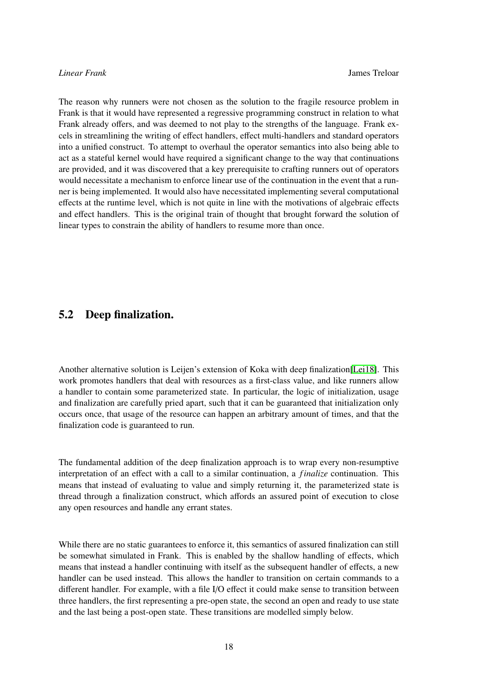The reason why runners were not chosen as the solution to the fragile resource problem in Frank is that it would have represented a regressive programming construct in relation to what Frank already offers, and was deemed to not play to the strengths of the language. Frank excels in streamlining the writing of effect handlers, effect multi-handlers and standard operators into a unified construct. To attempt to overhaul the operator semantics into also being able to act as a stateful kernel would have required a significant change to the way that continuations are provided, and it was discovered that a key prerequisite to crafting runners out of operators would necessitate a mechanism to enforce linear use of the continuation in the event that a runner is being implemented. It would also have necessitated implementing several computational effects at the runtime level, which is not quite in line with the motivations of algebraic effects and effect handlers. This is the original train of thought that brought forward the solution of linear types to constrain the ability of handlers to resume more than once.

#### <span id="page-21-0"></span>5.2 Deep finalization.

Another alternative solution is Leijen's extension of Koka with deep finalization[\[Lei18\]](#page-26-12). This work promotes handlers that deal with resources as a first-class value, and like runners allow a handler to contain some parameterized state. In particular, the logic of initialization, usage and finalization are carefully pried apart, such that it can be guaranteed that initialization only occurs once, that usage of the resource can happen an arbitrary amount of times, and that the finalization code is guaranteed to run.

The fundamental addition of the deep finalization approach is to wrap every non-resumptive interpretation of an effect with a call to a similar continuation, a *f inalize* continuation. This means that instead of evaluating to value and simply returning it, the parameterized state is thread through a finalization construct, which affords an assured point of execution to close any open resources and handle any errant states.

While there are no static guarantees to enforce it, this semantics of assured finalization can still be somewhat simulated in Frank. This is enabled by the shallow handling of effects, which means that instead a handler continuing with itself as the subsequent handler of effects, a new handler can be used instead. This allows the handler to transition on certain commands to a different handler. For example, with a file I/O effect it could make sense to transition between three handlers, the first representing a pre-open state, the second an open and ready to use state and the last being a post-open state. These transitions are modelled simply below.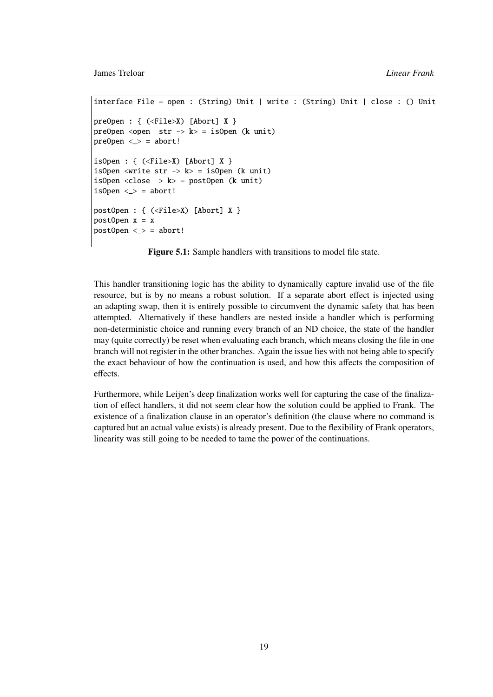```
interface File = open : (String) Unit | write : (String) Unit | close : () Unit
preOpen : { (<File>X) [Abort] X }
preOpen <open str -> k> = isOpen (k unit)
preOpen < \geq = abort!
isOpen : { (<File>X) [Abort] X }
isOpen \langlewrite str \rightarrow k> = isOpen (k unit)
isOpen <close \rightarrow k = postOpen (k unit)
isOpen \langle \_\rangle = abort!
postOpen : { (<File>X) [Abort] X }
postOpen x = xpostOpen <>>></math> is about!
```
Figure 5.1: Sample handlers with transitions to model file state.

This handler transitioning logic has the ability to dynamically capture invalid use of the file resource, but is by no means a robust solution. If a separate abort effect is injected using an adapting swap, then it is entirely possible to circumvent the dynamic safety that has been attempted. Alternatively if these handlers are nested inside a handler which is performing non-deterministic choice and running every branch of an ND choice, the state of the handler may (quite correctly) be reset when evaluating each branch, which means closing the file in one branch will not register in the other branches. Again the issue lies with not being able to specify the exact behaviour of how the continuation is used, and how this affects the composition of effects.

Furthermore, while Leijen's deep finalization works well for capturing the case of the finalization of effect handlers, it did not seem clear how the solution could be applied to Frank. The existence of a finalization clause in an operator's definition (the clause where no command is captured but an actual value exists) is already present. Due to the flexibility of Frank operators, linearity was still going to be needed to tame the power of the continuations.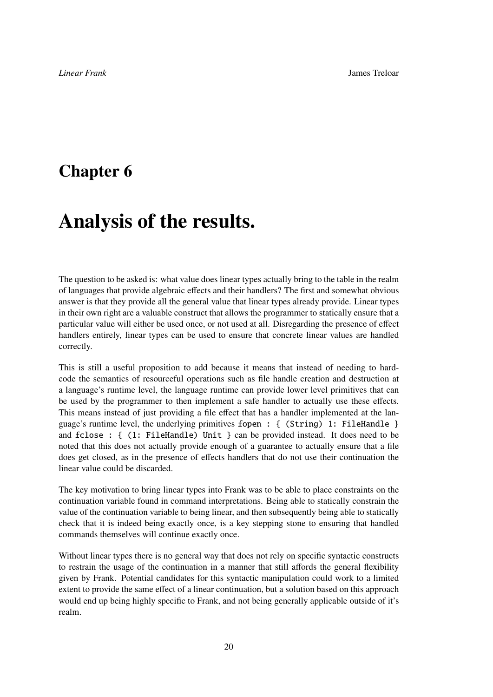### <span id="page-23-0"></span>Analysis of the results.

The question to be asked is: what value does linear types actually bring to the table in the realm of languages that provide algebraic effects and their handlers? The first and somewhat obvious answer is that they provide all the general value that linear types already provide. Linear types in their own right are a valuable construct that allows the programmer to statically ensure that a particular value will either be used once, or not used at all. Disregarding the presence of effect handlers entirely, linear types can be used to ensure that concrete linear values are handled correctly.

This is still a useful proposition to add because it means that instead of needing to hardcode the semantics of resourceful operations such as file handle creation and destruction at a language's runtime level, the language runtime can provide lower level primitives that can be used by the programmer to then implement a safe handler to actually use these effects. This means instead of just providing a file effect that has a handler implemented at the language's runtime level, the underlying primitives fopen :  $\{$  (String) 1: FileHandle  $\}$ and fclose : { (1: FileHandle) Unit } can be provided instead. It does need to be noted that this does not actually provide enough of a guarantee to actually ensure that a file does get closed, as in the presence of effects handlers that do not use their continuation the linear value could be discarded.

The key motivation to bring linear types into Frank was to be able to place constraints on the continuation variable found in command interpretations. Being able to statically constrain the value of the continuation variable to being linear, and then subsequently being able to statically check that it is indeed being exactly once, is a key stepping stone to ensuring that handled commands themselves will continue exactly once.

Without linear types there is no general way that does not rely on specific syntactic constructs to restrain the usage of the continuation in a manner that still affords the general flexibility given by Frank. Potential candidates for this syntactic manipulation could work to a limited extent to provide the same effect of a linear continuation, but a solution based on this approach would end up being highly specific to Frank, and not being generally applicable outside of it's realm.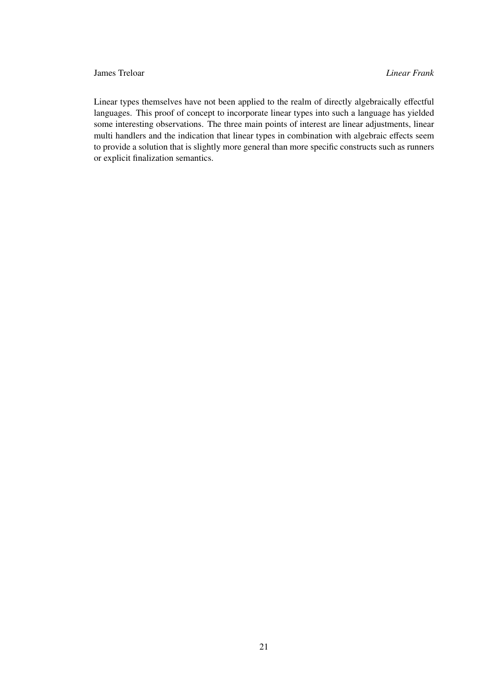#### James Treloar *Linear Frank*

Linear types themselves have not been applied to the realm of directly algebraically effectful languages. This proof of concept to incorporate linear types into such a language has yielded some interesting observations. The three main points of interest are linear adjustments, linear multi handlers and the indication that linear types in combination with algebraic effects seem to provide a solution that is slightly more general than more specific constructs such as runners or explicit finalization semantics.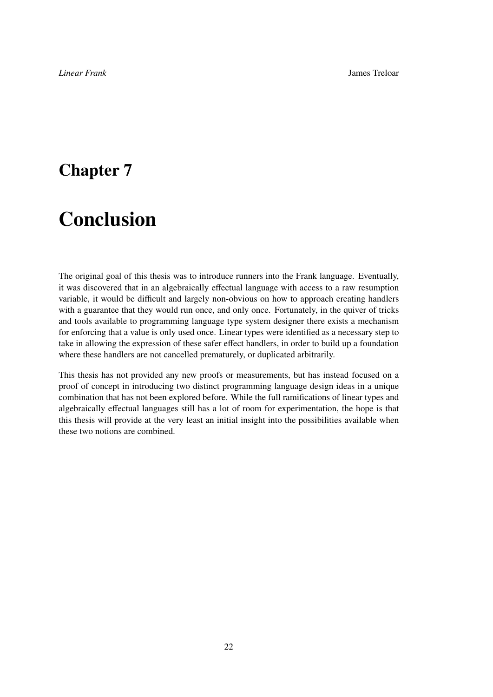# <span id="page-25-0"></span>Conclusion

The original goal of this thesis was to introduce runners into the Frank language. Eventually, it was discovered that in an algebraically effectual language with access to a raw resumption variable, it would be difficult and largely non-obvious on how to approach creating handlers with a guarantee that they would run once, and only once. Fortunately, in the quiver of tricks and tools available to programming language type system designer there exists a mechanism for enforcing that a value is only used once. Linear types were identified as a necessary step to take in allowing the expression of these safer effect handlers, in order to build up a foundation where these handlers are not cancelled prematurely, or duplicated arbitrarily.

This thesis has not provided any new proofs or measurements, but has instead focused on a proof of concept in introducing two distinct programming language design ideas in a unique combination that has not been explored before. While the full ramifications of linear types and algebraically effectual languages still has a lot of room for experimentation, the hope is that this thesis will provide at the very least an initial insight into the possibilities available when these two notions are combined.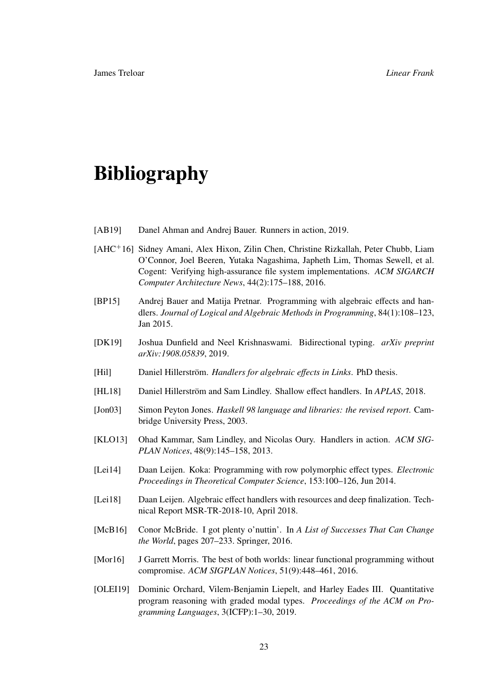# **Bibliography**

- <span id="page-26-9"></span>[AB19] Danel Ahman and Andrej Bauer. Runners in action, 2019.
- <span id="page-26-1"></span>[AHC<sup>+</sup>16] Sidney Amani, Alex Hixon, Zilin Chen, Christine Rizkallah, Peter Chubb, Liam O'Connor, Joel Beeren, Yutaka Nagashima, Japheth Lim, Thomas Sewell, et al. Cogent: Verifying high-assurance file system implementations. *ACM SIGARCH Computer Architecture News*, 44(2):175–188, 2016.
- <span id="page-26-5"></span>[BP15] Andrej Bauer and Matija Pretnar. Programming with algebraic effects and handlers. *Journal of Logical and Algebraic Methods in Programming*, 84(1):108–123, Jan 2015.
- <span id="page-26-10"></span>[DK19] Joshua Dunfield and Neel Krishnaswami. Bidirectional typing. *arXiv preprint arXiv:1908.05839*, 2019.
- <span id="page-26-6"></span>[Hil] Daniel Hillerström. *Handlers for algebraic effects in Links*. PhD thesis.
- <span id="page-26-7"></span>[HL18] Daniel Hillerström and Sam Lindley. Shallow effect handlers. In *APLAS*, 2018.
- <span id="page-26-0"></span>[Jon03] Simon Peyton Jones. *Haskell 98 language and libraries: the revised report*. Cambridge University Press, 2003.
- <span id="page-26-8"></span>[KLO13] Ohad Kammar, Sam Lindley, and Nicolas Oury. Handlers in action. *ACM SIG-PLAN Notices*, 48(9):145–158, 2013.
- <span id="page-26-4"></span>[Lei14] Daan Leijen. Koka: Programming with row polymorphic effect types. *Electronic Proceedings in Theoretical Computer Science*, 153:100–126, Jun 2014.
- <span id="page-26-12"></span>[Lei18] Daan Leijen. Algebraic effect handlers with resources and deep finalization. Technical Report MSR-TR-2018-10, April 2018.
- <span id="page-26-11"></span>[McB16] Conor McBride. I got plenty o'nuttin'. In *A List of Successes That Can Change the World*, pages 207–233. Springer, 2016.
- <span id="page-26-2"></span>[Mor16] J Garrett Morris. The best of both worlds: linear functional programming without compromise. *ACM SIGPLAN Notices*, 51(9):448–461, 2016.
- <span id="page-26-3"></span>[OLEI19] Dominic Orchard, Vilem-Benjamin Liepelt, and Harley Eades III. Quantitative program reasoning with graded modal types. *Proceedings of the ACM on Programming Languages*, 3(ICFP):1–30, 2019.